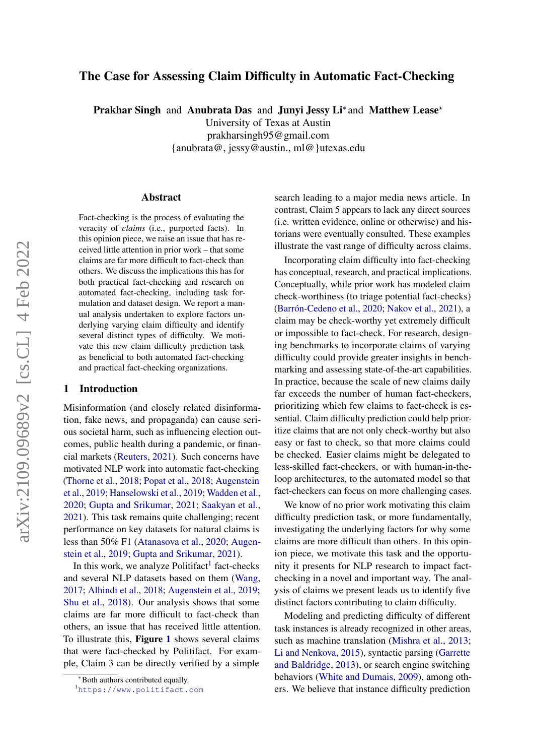# The Case for Assessing Claim Difficulty in Automatic Fact-Checking

Prakhar Singh and Anubrata Das and Junyi Jessy Li<sup>\*</sup> and Matthew Lease<sup>\*</sup>

University of Texas at Austin prakharsingh95@gmail.com {anubrata@, jessy@austin., ml@}utexas.edu

#### Abstract

Fact-checking is the process of evaluating the veracity of *claims* (i.e., purported facts). In this opinion piece, we raise an issue that has received little attention in prior work – that some claims are far more difficult to fact-check than others. We discuss the implications this has for both practical fact-checking and research on automated fact-checking, including task formulation and dataset design. We report a manual analysis undertaken to explore factors underlying varying claim difficulty and identify several distinct types of difficulty. We motivate this new claim difficulty prediction task as beneficial to both automated fact-checking and practical fact-checking organizations.

## 1 Introduction

Misinformation (and closely related disinformation, fake news, and propaganda) can cause serious societal harm, such as influencing election outcomes, public health during a pandemic, or financial markets [\(Reuters,](#page-5-0) [2021\)](#page-5-0). Such concerns have motivated NLP work into automatic fact-checking [\(Thorne et al.,](#page-5-1) [2018;](#page-5-1) [Popat et al.,](#page-5-2) [2018;](#page-5-2) [Augenstein](#page-4-0) [et al.,](#page-4-0) [2019;](#page-4-0) [Hanselowski et al.,](#page-4-1) [2019;](#page-4-1) [Wadden et al.,](#page-5-3) [2020;](#page-5-3) [Gupta and Srikumar,](#page-4-2) [2021;](#page-4-2) [Saakyan et al.,](#page-5-4) [2021\)](#page-5-4). This task remains quite challenging; recent performance on key datasets for natural claims is less than 50% F1 [\(Atanasova et al.,](#page-4-3) [2020;](#page-4-3) [Augen](#page-4-0)[stein et al.,](#page-4-0) [2019;](#page-4-0) [Gupta and Srikumar,](#page-4-2) [2021\)](#page-4-2).

In this work, we analyze Politifact<sup>[1](#page-0-0)</sup> fact-checks and several NLP datasets based on them [\(Wang,](#page-5-5) [2017;](#page-5-5) [Alhindi et al.,](#page-4-4) [2018;](#page-4-4) [Augenstein et al.,](#page-4-0) [2019;](#page-4-0) [Shu et al.,](#page-5-6) [2018\)](#page-5-6). Our analysis shows that some claims are far more difficult to fact-check than others, an issue that has received little attention. To illustrate this, Figure [1](#page-1-0) shows several claims that were fact-checked by Politifact. For example, Claim 3 can be directly verified by a simple

search leading to a major media news article. In contrast, Claim 5 appears to lack any direct sources (i.e. written evidence, online or otherwise) and historians were eventually consulted. These examples illustrate the vast range of difficulty across claims.

Incorporating claim difficulty into fact-checking has conceptual, research, and practical implications. Conceptually, while prior work has modeled claim check-worthiness (to triage potential fact-checks) [\(Barrón-Cedeno et al.,](#page-4-5) [2020;](#page-4-5) [Nakov et al.,](#page-5-7) [2021\)](#page-5-7), a claim may be check-worthy yet extremely difficult or impossible to fact-check. For research, designing benchmarks to incorporate claims of varying difficulty could provide greater insights in benchmarking and assessing state-of-the-art capabilities. In practice, because the scale of new claims daily far exceeds the number of human fact-checkers, prioritizing which few claims to fact-check is essential. Claim difficulty prediction could help prioritize claims that are not only check-worthy but also easy or fast to check, so that more claims could be checked. Easier claims might be delegated to less-skilled fact-checkers, or with human-in-theloop architectures, to the automated model so that fact-checkers can focus on more challenging cases.

We know of no prior work motivating this claim difficulty prediction task, or more fundamentally, investigating the underlying factors for why some claims are more difficult than others. In this opinion piece, we motivate this task and the opportunity it presents for NLP research to impact factchecking in a novel and important way. The analysis of claims we present leads us to identify five distinct factors contributing to claim difficulty.

Modeling and predicting difficulty of different task instances is already recognized in other areas, such as machine translation [\(Mishra et al.,](#page-5-8) [2013;](#page-5-8) [Li and Nenkova,](#page-4-6) [2015\)](#page-4-6), syntactic parsing [\(Garrette](#page-4-7) [and Baldridge,](#page-4-7) [2013\)](#page-4-7), or search engine switching behaviors [\(White and Dumais,](#page-5-9) [2009\)](#page-5-9), among others. We believe that instance difficulty prediction

<sup>∗</sup>Both authors contributed equally.

<span id="page-0-0"></span><sup>1</sup><https://www.politifact.com>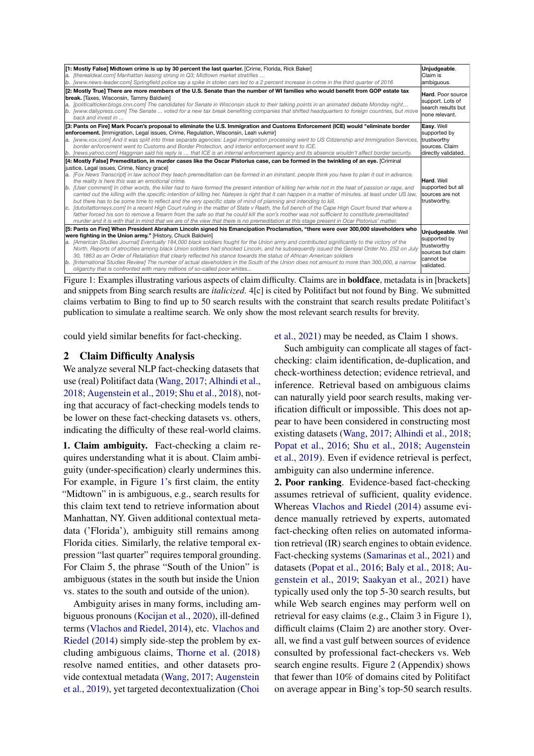<span id="page-1-0"></span>

| [1: Mostly False] Midtown crime is up by 30 percent the last quarter. [Crime, Florida, Rick Baker]<br>a. [therealdeal.com] Manhattan leasing strong in Q3; Midtown market stratifies<br>b. [www.news-leader.com] Springfield police say a spike in stolen cars led to a 2 percent increase in crime in the third quarter of 2016                                                                                                                                                                                                                                                                                                                                                                                                                                                                                                                                                                                                                                                                                                                                                                                                                                                                                                                                              | Unjudgeable.<br>Claim is<br>ambiguous.                                                           |
|-------------------------------------------------------------------------------------------------------------------------------------------------------------------------------------------------------------------------------------------------------------------------------------------------------------------------------------------------------------------------------------------------------------------------------------------------------------------------------------------------------------------------------------------------------------------------------------------------------------------------------------------------------------------------------------------------------------------------------------------------------------------------------------------------------------------------------------------------------------------------------------------------------------------------------------------------------------------------------------------------------------------------------------------------------------------------------------------------------------------------------------------------------------------------------------------------------------------------------------------------------------------------------|--------------------------------------------------------------------------------------------------|
| [2: Mostly True] There are more members of the U.S. Senate than the number of WI families who would benefit from GOP estate tax<br>break. [Taxes, Wisconsin, Tammy Baldwin]<br>a. [politicalticker.blogs.cnn.com] The candidates for Senate in Wisconsin stuck to their talking points in an animated debate Monday night<br>b. [www.dailypress.com] The Senate  voted for a new tax break benefiting companies that shifted headquarters to foreign countries, but move<br>back and invest in                                                                                                                                                                                                                                                                                                                                                                                                                                                                                                                                                                                                                                                                                                                                                                                | Hard. Poor source<br>support. Lots of<br>search results but<br>none relevant.                    |
| [3: Pants on Fire] Mark Pocan's proposal to eliminate the U.S. Immigration and Customs Enforcement (ICE) would "eliminate border<br>enforcement. [Immigration, Legal issues, Crime, Regulation, Wisconsin, Leah vukmir]<br>a. [www.vox.com] And it was split into three separate agencies: Legal immigration processing went to US Citizenship and Immigration Services,<br>border enforcement went to Customs and Border Protection, and interior enforcement went to ICE.<br>b. [news.yahoo.com] Haggman said his reply is  that ICE is an internal enforcement agency and its absence wouldn't affect border security.                                                                                                                                                                                                                                                                                                                                                                                                                                                                                                                                                                                                                                                     | Easy. Well<br>supported by<br>trustworthy<br>sources. Claim<br>directly validated.               |
| [4: Mostly False] Premeditation, in murder cases like the Oscar Pistorius case, can be formed in the twinkling of an eye. [Criminal]<br>justice, Legal issues, Crime, Nancy grace]<br>a. [Fox News Transcript] in law school they teach premeditation can be formed in an ininstant, people think you have to plan it out in advance.<br>the reality is here this was an emotional crime.<br>b. [User comment] In other words, the killer had to have formed the present intention of killing her while not in the heat of passion or rage, and<br>carried out the killing with the specific intention of killing her. Nateyes is right that it can happen in a matter of minutes, at least under US law,<br>but there has to be some time to reflect and the very specific state of mind of planning and intending to kill.<br>c. [dutoitattorneys.com] In a recent High Court ruling in the matter of State v Raath, the full bench of the Cape High Court found that where a<br>father forced his son to remove a firearm from the safe so that he could kill the son's mother was not sufficient to constitute premeditated<br>murder and it is with that in mind that we are of the view that there is no premeditation at this stage present in Ocar Pistorius' matter. | Hard, Well<br>supported but all<br>sources are not<br>trustworthy.                               |
| [5: Pants on Fire] When President Abraham Lincoln signed his Emancipation Proclamation, "there were over 300,000 slaveholders who<br>were fighting in the Union army." [History, Chuck Baldwin]<br>a. [American Studies Journal] Eventually 184,000 black soldiers fought for the Union army and contributed significantly to the victory of the<br>North. Reports of atrocities among black Union soldiers had shocked Lincoln, and he subsequently issued the General Order No. 252 on July<br>30, 1863 as an Order of Retaliation that clearly reflected his stance towards the status of African American soldiers<br>b. [International Studies Review] The number of actual slaveholders in the South of the Union does not amount to more than 300,000, a narrow<br>oligarchy that is confronted with many millions of so-called poor whites                                                                                                                                                                                                                                                                                                                                                                                                                            | Unjudgeable. Well<br>supported by<br>trustworthy<br>sources but claim<br>cannot be<br>validated. |
|                                                                                                                                                                                                                                                                                                                                                                                                                                                                                                                                                                                                                                                                                                                                                                                                                                                                                                                                                                                                                                                                                                                                                                                                                                                                               |                                                                                                  |

Figure 1: Examples illustrating various aspects of claim difficulty. Claims are in **boldface**, metadata is in [brackets] and snippets from Bing search results are *italicized*. 4[c] is cited by Politifact but not found by Bing. We submitted claims verbatim to Bing to find up to 50 search results with the constraint that search results predate Politifact's publication to simulate a realtime search. We only show the most relevant search results for brevity.

could yield similar benefits for fact-checking.

### 2 Claim Difficulty Analysis

We analyze several NLP fact-checking datasets that use (real) Politifact data [\(Wang,](#page-5-5) [2017;](#page-5-5) [Alhindi et al.,](#page-4-4) [2018;](#page-4-4) [Augenstein et al.,](#page-4-0) [2019;](#page-4-0) [Shu et al.,](#page-5-6) [2018\)](#page-5-6), noting that accuracy of fact-checking models tends to be lower on these fact-checking datasets vs. others, indicating the difficulty of these real-world claims.

1. Claim ambiguity. Fact-checking a claim requires understanding what it is about. Claim ambiguity (under-specification) clearly undermines this. For example, in Figure [1'](#page-1-0)s first claim, the entity "Midtown" in is ambiguous, e.g., search results for this claim text tend to retrieve information about Manhattan, NY. Given additional contextual metadata ('Florida'), ambiguity still remains among Florida cities. Similarly, the relative temporal expression "last quarter" requires temporal grounding. For Claim 5, the phrase "South of the Union" is ambiguous (states in the south but inside the Union vs. states to the south and outside of the union).

Ambiguity arises in many forms, including ambiguous pronouns [\(Kocijan et al.,](#page-4-8) [2020\)](#page-4-8), ill-defined terms [\(Vlachos and Riedel,](#page-5-10) [2014\)](#page-5-10), etc. [Vlachos and](#page-5-10) [Riedel](#page-5-10) [\(2014\)](#page-5-10) simply side-step the problem by excluding ambiguous claims, [Thorne et al.](#page-5-1) [\(2018\)](#page-5-1) resolve named entities, and other datasets provide contextual metadata [\(Wang,](#page-5-5) [2017;](#page-5-5) [Augenstein](#page-4-0) [et al.,](#page-4-0) [2019\)](#page-4-0), yet targeted decontextualization [\(Choi](#page-4-9)

[et al.,](#page-4-9) [2021\)](#page-4-9) may be needed, as Claim 1 shows.

Such ambiguity can complicate all stages of factchecking: claim identification, de-duplication, and check-worthiness detection; evidence retrieval, and inference. Retrieval based on ambiguous claims can naturally yield poor search results, making verification difficult or impossible. This does not appear to have been considered in constructing most existing datasets [\(Wang,](#page-5-5) [2017;](#page-5-5) [Alhindi et al.,](#page-4-4) [2018;](#page-4-4) [Popat et al.,](#page-5-11) [2016;](#page-5-11) [Shu et al.,](#page-5-6) [2018;](#page-5-6) [Augenstein](#page-4-0) [et al.,](#page-4-0) [2019\)](#page-4-0). Even if evidence retrieval is perfect, ambiguity can also undermine inference.

2. Poor ranking. Evidence-based fact-checking assumes retrieval of sufficient, quality evidence. Whereas [Vlachos and Riedel](#page-5-10) [\(2014\)](#page-5-10) assume evidence manually retrieved by experts, automated fact-checking often relies on automated information retrieval (IR) search engines to obtain evidence. Fact-checking systems [\(Samarinas et al.,](#page-5-12) [2021\)](#page-5-12) and datasets [\(Popat et al.,](#page-5-11) [2016;](#page-5-11) [Baly et al.,](#page-4-10) [2018;](#page-4-10) [Au](#page-4-0)[genstein et al.,](#page-4-0) [2019;](#page-4-0) [Saakyan et al.,](#page-5-4) [2021\)](#page-5-4) have typically used only the top 5-30 search results, but while Web search engines may perform well on retrieval for easy claims (e.g., Claim 3 in Figure [1\)](#page-1-0), difficult claims (Claim 2) are another story. Overall, we find a vast gulf between sources of evidence consulted by professional fact-checkers vs. Web search engine results. Figure [2](#page-6-0) (Appendix) shows that fewer than 10% of domains cited by Politifact on average appear in Bing's top-50 search results.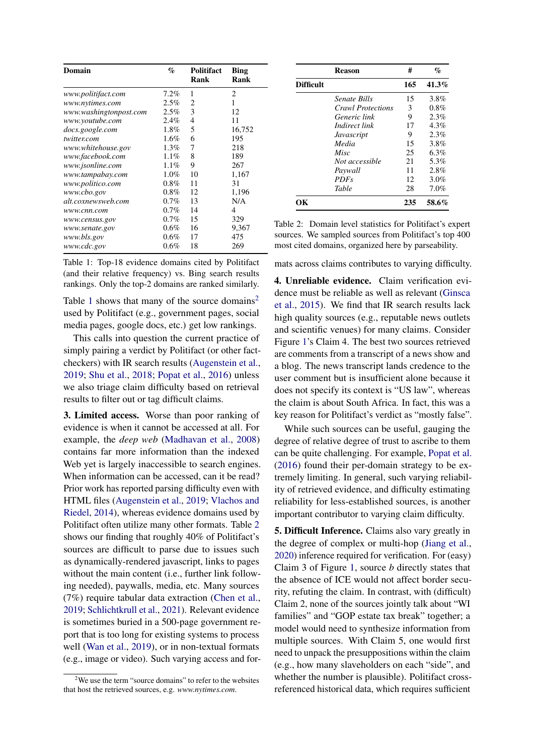<span id="page-2-0"></span>

| Domain                 | $\%$    | Politifact<br>Rank | <b>Bing</b><br>Rank |
|------------------------|---------|--------------------|---------------------|
| www.politifact.com     | 7.2%    | 1                  | 2                   |
| www.nytimes.com        | 2.5%    | 2                  | 1                   |
| www.washingtonpost.com | 2.5%    | 3                  | 12                  |
| www.youtube.com        | 2.4%    | 4                  | 11                  |
| docs.google.com        | 1.8%    | 5                  | 16,752              |
| twitter.com            | $1.6\%$ | 6                  | 195                 |
| www.whitehouse.gov     | $1.3\%$ | 7                  | 218                 |
| www.facebook.com       | 1.1%    | 8                  | 189                 |
| www.jsonline.com       | $1.1\%$ | 9                  | 267                 |
| www.tampabay.com       | 1.0%    | 10                 | 1,167               |
| www.politico.com       | 0.8%    | 11                 | 31                  |
| www.cbo.gov            | 0.8%    | 12                 | 1,196               |
| alt.coxnewsweb.com     | 0.7%    | 13                 | N/A                 |
| www.cnn.com            | $0.7\%$ | 14                 | 4                   |
| www.census.gov         | 0.7%    | 15                 | 329                 |
| www.senate.gov         | 0.6%    | 16                 | 9,367               |
| www.bls.gov            | 0.6%    | 17                 | 475                 |
| www.cdc.gov            | 0.6%    | 18                 | 269                 |

Table 1: Top-18 evidence domains cited by Politifact (and their relative frequency) vs. Bing search results rankings. Only the top-2 domains are ranked similarly.

Table [1](#page-2-0) shows that many of the source domains<sup>[2](#page-2-1)</sup> used by Politifact (e.g., government pages, social media pages, google docs, etc.) get low rankings.

This calls into question the current practice of simply pairing a verdict by Politifact (or other factcheckers) with IR search results [\(Augenstein et al.,](#page-4-0) [2019;](#page-4-0) [Shu et al.,](#page-5-6) [2018;](#page-5-6) [Popat et al.,](#page-5-11) [2016\)](#page-5-11) unless we also triage claim difficulty based on retrieval results to filter out or tag difficult claims.

3. Limited access. Worse than poor ranking of evidence is when it cannot be accessed at all. For example, the *deep web* [\(Madhavan et al.,](#page-4-11) [2008\)](#page-4-11) contains far more information than the indexed Web yet is largely inaccessible to search engines. When information can be accessed, can it be read? Prior work has reported parsing difficulty even with HTML files [\(Augenstein et al.,](#page-4-0) [2019;](#page-4-0) [Vlachos and](#page-5-10) [Riedel,](#page-5-10) [2014\)](#page-5-10), whereas evidence domains used by Politifact often utilize many other formats. Table [2](#page-2-2) shows our finding that roughly 40% of Politifact's sources are difficult to parse due to issues such as dynamically-rendered javascript, links to pages without the main content (i.e., further link following needed), paywalls, media, etc. Many sources (7%) require tabular data extraction [\(Chen et al.,](#page-4-12) [2019;](#page-4-12) [Schlichtkrull et al.,](#page-5-13) [2021\)](#page-5-13). Relevant evidence is sometimes buried in a 500-page government report that is too long for existing systems to process well [\(Wan et al.,](#page-5-14) [2019\)](#page-5-14), or in non-textual formats (e.g., image or video). Such varying access and for-

<span id="page-2-2"></span>

|                  | <b>Reason</b>            | #   | $\%$    |
|------------------|--------------------------|-----|---------|
| <b>Difficult</b> |                          | 165 | 41.3%   |
|                  | Senate Bills             | 15  | 3.8%    |
|                  | <i>Crawl Protections</i> | 3   | 0.8%    |
|                  | Generic link             | 9   | 2.3%    |
|                  | Indirect link            | 17  | $4.3\%$ |
|                  | Javascript               | 9   | 2.3%    |
|                  | Media                    | 15  | 3.8%    |
|                  | Misc                     | 25  | 6.3%    |
|                  | Not accessible           | 21  | 5.3%    |
|                  | Paywall                  | 11  | 2.8%    |
|                  | PDF <sub>s</sub>         | 12  | 3.0%    |
|                  | Table                    | 28  | 7.0%    |
| OК               |                          | 235 | 58.6%   |

Table 2: Domain level statistics for Politifact's expert sources. We sampled sources from Politifact's top 400 most cited domains, organized here by parseability.

mats across claims contributes to varying difficulty.

4. Unreliable evidence. Claim verification evidence must be reliable as well as relevant [\(Ginsca](#page-4-13) [et al.,](#page-4-13) [2015\)](#page-4-13). We find that IR search results lack high quality sources (e.g., reputable news outlets and scientific venues) for many claims. Consider Figure [1'](#page-1-0)s Claim 4. The best two sources retrieved are comments from a transcript of a news show and a blog. The news transcript lands credence to the user comment but is insufficient alone because it does not specify its context is "US law", whereas the claim is about South Africa. In fact, this was a key reason for Politifact's verdict as "mostly false".

While such sources can be useful, gauging the degree of relative degree of trust to ascribe to them can be quite challenging. For example, [Popat et al.](#page-5-11) [\(2016\)](#page-5-11) found their per-domain strategy to be extremely limiting. In general, such varying reliability of retrieved evidence, and difficulty estimating reliability for less-established sources, is another important contributor to varying claim difficulty.

5. Difficult Inference. Claims also vary greatly in the degree of complex or multi-hop [\(Jiang et al.,](#page-4-14) [2020\)](#page-4-14) inference required for verification. For (easy) Claim 3 of Figure [1,](#page-1-0) source *b* directly states that the absence of ICE would not affect border security, refuting the claim. In contrast, with (difficult) Claim 2, none of the sources jointly talk about "WI families" and "GOP estate tax break" together; a model would need to synthesize information from multiple sources. With Claim 5, one would first need to unpack the presuppositions within the claim (e.g., how many slaveholders on each "side", and whether the number is plausible). Politifact crossreferenced historical data, which requires sufficient

<span id="page-2-1"></span> $2$ We use the term "source domains" to refer to the websites that host the retrieved sources, e.g. *www.nytimes.com*.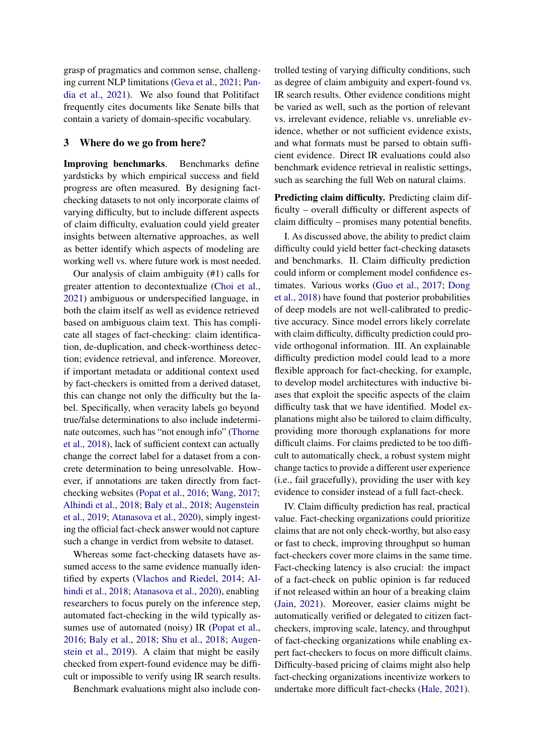grasp of pragmatics and common sense, challenging current NLP limitations [\(Geva et al.,](#page-4-15) [2021;](#page-4-15) [Pan](#page-5-15)[dia et al.,](#page-5-15) [2021\)](#page-5-15). We also found that Politifact frequently cites documents like Senate bills that contain a variety of domain-specific vocabulary.

#### 3 Where do we go from here?

Improving benchmarks. Benchmarks define yardsticks by which empirical success and field progress are often measured. By designing factchecking datasets to not only incorporate claims of varying difficulty, but to include different aspects of claim difficulty, evaluation could yield greater insights between alternative approaches, as well as better identify which aspects of modeling are working well vs. where future work is most needed.

Our analysis of claim ambiguity (#1) calls for greater attention to decontextualize [\(Choi et al.,](#page-4-9) [2021\)](#page-4-9) ambiguous or underspecified language, in both the claim itself as well as evidence retrieved based on ambiguous claim text. This has complicate all stages of fact-checking: claim identification, de-duplication, and check-worthiness detection; evidence retrieval, and inference. Moreover, if important metadata or additional context used by fact-checkers is omitted from a derived dataset, this can change not only the difficulty but the label. Specifically, when veracity labels go beyond true/false determinations to also include indeterminate outcomes, such has "not enough info" [\(Thorne](#page-5-1) [et al.,](#page-5-1) [2018\)](#page-5-1), lack of sufficient context can actually change the correct label for a dataset from a concrete determination to being unresolvable. However, if annotations are taken directly from factchecking websites [\(Popat et al.,](#page-5-11) [2016;](#page-5-11) [Wang,](#page-5-5) [2017;](#page-5-5) [Alhindi et al.,](#page-4-4) [2018;](#page-4-4) [Baly et al.,](#page-4-10) [2018;](#page-4-10) [Augenstein](#page-4-0) [et al.,](#page-4-0) [2019;](#page-4-0) [Atanasova et al.,](#page-4-3) [2020\)](#page-4-3), simply ingesting the official fact-check answer would not capture such a change in verdict from website to dataset.

Whereas some fact-checking datasets have assumed access to the same evidence manually identified by experts [\(Vlachos and Riedel,](#page-5-10) [2014;](#page-5-10) [Al](#page-4-4)[hindi et al.,](#page-4-4) [2018;](#page-4-4) [Atanasova et al.,](#page-4-3) [2020\)](#page-4-3), enabling researchers to focus purely on the inference step, automated fact-checking in the wild typically assumes use of automated (noisy) IR [\(Popat et al.,](#page-5-11) [2016;](#page-5-11) [Baly et al.,](#page-4-10) [2018;](#page-4-10) [Shu et al.,](#page-5-6) [2018;](#page-5-6) [Augen](#page-4-0)[stein et al.,](#page-4-0) [2019\)](#page-4-0). A claim that might be easily checked from expert-found evidence may be difficult or impossible to verify using IR search results.

Benchmark evaluations might also include con-

trolled testing of varying difficulty conditions, such as degree of claim ambiguity and expert-found vs. IR search results. Other evidence conditions might be varied as well, such as the portion of relevant vs. irrelevant evidence, reliable vs. unreliable evidence, whether or not sufficient evidence exists, and what formats must be parsed to obtain sufficient evidence. Direct IR evaluations could also benchmark evidence retrieval in realistic settings, such as searching the full Web on natural claims.

Predicting claim difficulty. Predicting claim difficulty – overall difficulty or different aspects of claim difficulty – promises many potential benefits.

I. As discussed above, the ability to predict claim difficulty could yield better fact-checking datasets and benchmarks. II. Claim difficulty prediction could inform or complement model confidence estimates. Various works [\(Guo et al.,](#page-4-16) [2017;](#page-4-16) [Dong](#page-4-17) [et al.,](#page-4-17) [2018\)](#page-4-17) have found that posterior probabilities of deep models are not well-calibrated to predictive accuracy. Since model errors likely correlate with claim difficulty, difficulty prediction could provide orthogonal information. III. An explainable difficulty prediction model could lead to a more flexible approach for fact-checking, for example, to develop model architectures with inductive biases that exploit the specific aspects of the claim difficulty task that we have identified. Model explanations might also be tailored to claim difficulty, providing more thorough explanations for more difficult claims. For claims predicted to be too difficult to automatically check, a robust system might change tactics to provide a different user experience (i.e., fail gracefully), providing the user with key evidence to consider instead of a full fact-check.

IV. Claim difficulty prediction has real, practical value. Fact-checking organizations could prioritize claims that are not only check-worthy, but also easy or fast to check, improving throughput so human fact-checkers cover more claims in the same time. Fact-checking latency is also crucial: the impact of a fact-check on public opinion is far reduced if not released within an hour of a breaking claim [\(Jain,](#page-4-18) [2021\)](#page-4-18). Moreover, easier claims might be automatically verified or delegated to citizen factcheckers, improving scale, latency, and throughput of fact-checking organizations while enabling expert fact-checkers to focus on more difficult claims. Difficulty-based pricing of claims might also help fact-checking organizations incentivize workers to undertake more difficult fact-checks [\(Hale,](#page-4-19) [2021\)](#page-4-19).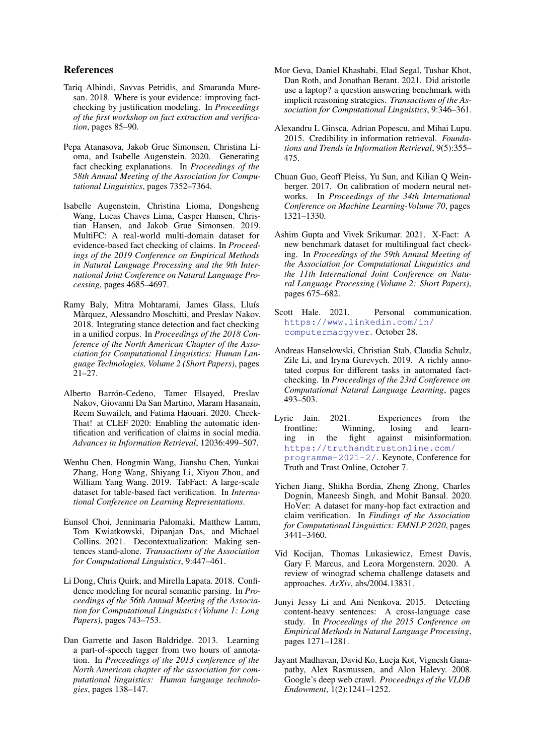#### References

- <span id="page-4-4"></span>Tariq Alhindi, Savvas Petridis, and Smaranda Muresan. 2018. Where is your evidence: improving factchecking by justification modeling. In *Proceedings of the first workshop on fact extraction and verification*, pages 85–90.
- <span id="page-4-3"></span>Pepa Atanasova, Jakob Grue Simonsen, Christina Lioma, and Isabelle Augenstein. 2020. Generating fact checking explanations. In *Proceedings of the 58th Annual Meeting of the Association for Computational Linguistics*, pages 7352–7364.
- <span id="page-4-0"></span>Isabelle Augenstein, Christina Lioma, Dongsheng Wang, Lucas Chaves Lima, Casper Hansen, Christian Hansen, and Jakob Grue Simonsen. 2019. MultiFC: A real-world multi-domain dataset for evidence-based fact checking of claims. In *Proceedings of the 2019 Conference on Empirical Methods in Natural Language Processing and the 9th International Joint Conference on Natural Language Processing*, pages 4685–4697.
- <span id="page-4-10"></span>Ramy Baly, Mitra Mohtarami, James Glass, Lluís Màrquez, Alessandro Moschitti, and Preslav Nakov. 2018. Integrating stance detection and fact checking in a unified corpus. In *Proceedings of the 2018 Conference of the North American Chapter of the Association for Computational Linguistics: Human Language Technologies, Volume 2 (Short Papers)*, pages  $21 - 27$ .
- <span id="page-4-5"></span>Alberto Barrón-Cedeno, Tamer Elsayed, Preslav Nakov, Giovanni Da San Martino, Maram Hasanain, Reem Suwaileh, and Fatima Haouari. 2020. Check-That! at CLEF 2020: Enabling the automatic identification and verification of claims in social media. *Advances in Information Retrieval*, 12036:499–507.
- <span id="page-4-12"></span>Wenhu Chen, Hongmin Wang, Jianshu Chen, Yunkai Zhang, Hong Wang, Shiyang Li, Xiyou Zhou, and William Yang Wang. 2019. TabFact: A large-scale dataset for table-based fact verification. In *International Conference on Learning Representations*.
- <span id="page-4-9"></span>Eunsol Choi, Jennimaria Palomaki, Matthew Lamm, Tom Kwiatkowski, Dipanjan Das, and Michael Collins. 2021. Decontextualization: Making sentences stand-alone. *Transactions of the Association for Computational Linguistics*, 9:447–461.
- <span id="page-4-17"></span>Li Dong, Chris Quirk, and Mirella Lapata. 2018. Confidence modeling for neural semantic parsing. In *Proceedings of the 56th Annual Meeting of the Association for Computational Linguistics (Volume 1: Long Papers)*, pages 743–753.
- <span id="page-4-7"></span>Dan Garrette and Jason Baldridge. 2013. Learning a part-of-speech tagger from two hours of annotation. In *Proceedings of the 2013 conference of the North American chapter of the association for computational linguistics: Human language technologies*, pages 138–147.
- <span id="page-4-15"></span>Mor Geva, Daniel Khashabi, Elad Segal, Tushar Khot, Dan Roth, and Jonathan Berant. 2021. Did aristotle use a laptop? a question answering benchmark with implicit reasoning strategies. *Transactions of the Association for Computational Linguistics*, 9:346–361.
- <span id="page-4-13"></span>Alexandru L Ginsca, Adrian Popescu, and Mihai Lupu. 2015. Credibility in information retrieval. *Foundations and Trends in Information Retrieval*, 9(5):355– 475.
- <span id="page-4-16"></span>Chuan Guo, Geoff Pleiss, Yu Sun, and Kilian Q Weinberger. 2017. On calibration of modern neural networks. In *Proceedings of the 34th International Conference on Machine Learning-Volume 70*, pages 1321–1330.
- <span id="page-4-2"></span>Ashim Gupta and Vivek Srikumar. 2021. X-Fact: A new benchmark dataset for multilingual fact checking. In *Proceedings of the 59th Annual Meeting of the Association for Computational Linguistics and the 11th International Joint Conference on Natural Language Processing (Volume 2: Short Papers)*, pages 675–682.
- <span id="page-4-19"></span>Scott Hale. 2021. Personal communication. [https://www.linkedin.com/in/](https://www.linkedin.com/in/computermacgyver) [computermacgyver](https://www.linkedin.com/in/computermacgyver). October 28.
- <span id="page-4-1"></span>Andreas Hanselowski, Christian Stab, Claudia Schulz, Zile Li, and Iryna Gurevych. 2019. A richly annotated corpus for different tasks in automated factchecking. In *Proceedings of the 23rd Conference on Computational Natural Language Learning*, pages 493–503.
- <span id="page-4-18"></span>Lyric Jain. 2021. Experiences from the frontline: Winning, losing and learning in the fight against misinformation. [https://truthandtrustonline.com/](https://truthandtrustonline.com/programme-2021-2/) [programme-2021-2/](https://truthandtrustonline.com/programme-2021-2/). Keynote, Conference for Truth and Trust Online, October 7.
- <span id="page-4-14"></span>Yichen Jiang, Shikha Bordia, Zheng Zhong, Charles Dognin, Maneesh Singh, and Mohit Bansal. 2020. HoVer: A dataset for many-hop fact extraction and claim verification. In *Findings of the Association for Computational Linguistics: EMNLP 2020*, pages 3441–3460.
- <span id="page-4-8"></span>Vid Kocijan, Thomas Lukasiewicz, Ernest Davis, Gary F. Marcus, and Leora Morgenstern. 2020. A review of winograd schema challenge datasets and approaches. *ArXiv*, abs/2004.13831.
- <span id="page-4-6"></span>Junyi Jessy Li and Ani Nenkova. 2015. Detecting content-heavy sentences: A cross-language case study. In *Proceedings of the 2015 Conference on Empirical Methods in Natural Language Processing*, pages 1271–1281.
- <span id="page-4-11"></span>Jayant Madhavan, David Ko, Łucja Kot, Vignesh Ganapathy, Alex Rasmussen, and Alon Halevy. 2008. Google's deep web crawl. *Proceedings of the VLDB Endowment*, 1(2):1241–1252.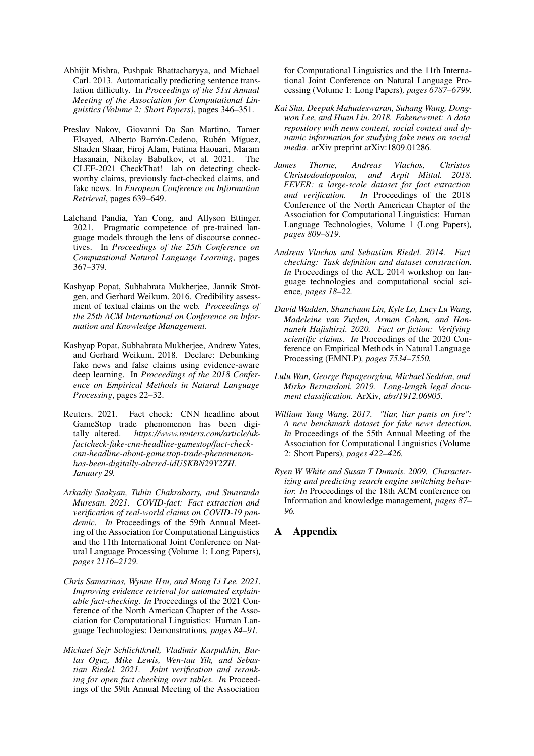- <span id="page-5-8"></span>Abhijit Mishra, Pushpak Bhattacharyya, and Michael Carl. 2013. Automatically predicting sentence translation difficulty. In *Proceedings of the 51st Annual Meeting of the Association for Computational Linguistics (Volume 2: Short Papers)*, pages 346–351.
- <span id="page-5-7"></span>Preslav Nakov, Giovanni Da San Martino, Tamer Elsayed, Alberto Barrón-Cedeno, Rubén Míguez, Shaden Shaar, Firoj Alam, Fatima Haouari, Maram Hasanain, Nikolay Babulkov, et al. 2021. The CLEF-2021 CheckThat! lab on detecting checkworthy claims, previously fact-checked claims, and fake news. In *European Conference on Information Retrieval*, pages 639–649.
- <span id="page-5-15"></span>Lalchand Pandia, Yan Cong, and Allyson Ettinger. 2021. Pragmatic competence of pre-trained language models through the lens of discourse connectives. In *Proceedings of the 25th Conference on Computational Natural Language Learning*, pages 367–379.
- <span id="page-5-11"></span>Kashyap Popat, Subhabrata Mukherjee, Jannik Strötgen, and Gerhard Weikum. 2016. Credibility assessment of textual claims on the web. *Proceedings of the 25th ACM International on Conference on Information and Knowledge Management*.
- <span id="page-5-2"></span>Kashyap Popat, Subhabrata Mukherjee, Andrew Yates, and Gerhard Weikum. 2018. Declare: Debunking fake news and false claims using evidence-aware deep learning. In *Proceedings of the 2018 Conference on Empirical Methods in Natural Language Processing*, pages 22–32.
- <span id="page-5-0"></span>Reuters. 2021. Fact check: CNN headline about GameStop trade phenomenon has been digitally altered. *https://www.reuters.com/article/ukfactcheck-fake-cnn-headline-gamestop/fact-checkcnn-headline-about-gamestop-trade-phenomenonhas-been-digitally-altered-idUSKBN29Y2ZH. January 29.*
- <span id="page-5-4"></span>*Arkadiy Saakyan, Tuhin Chakrabarty, and Smaranda Muresan. 2021. COVID-fact: Fact extraction and verification of real-world claims on COVID-19 pandemic. In* Proceedings of the 59th Annual Meeting of the Association for Computational Linguistics and the 11th International Joint Conference on Natural Language Processing (Volume 1: Long Papers)*, pages 2116–2129.*
- <span id="page-5-12"></span>*Chris Samarinas, Wynne Hsu, and Mong Li Lee. 2021. Improving evidence retrieval for automated explainable fact-checking. In* Proceedings of the 2021 Conference of the North American Chapter of the Association for Computational Linguistics: Human Language Technologies: Demonstrations*, pages 84–91.*
- <span id="page-5-13"></span>*Michael Sejr Schlichtkrull, Vladimir Karpukhin, Barlas Oguz, Mike Lewis, Wen-tau Yih, and Sebastian Riedel. 2021. Joint verification and reranking for open fact checking over tables. In* Proceedings of the 59th Annual Meeting of the Association

for Computational Linguistics and the 11th International Joint Conference on Natural Language Processing (Volume 1: Long Papers)*, pages 6787–6799.*

- <span id="page-5-6"></span>*Kai Shu, Deepak Mahudeswaran, Suhang Wang, Dongwon Lee, and Huan Liu. 2018. Fakenewsnet: A data repository with news content, social context and dynamic information for studying fake news on social media.* arXiv preprint arXiv:1809.01286*.*
- <span id="page-5-1"></span>*James Thorne, Andreas Vlachos, Christos Christodoulopoulos, and Arpit Mittal. 2018. FEVER: a large-scale dataset for fact extraction and verification. In* Proceedings of the 2018 Conference of the North American Chapter of the Association for Computational Linguistics: Human Language Technologies, Volume 1 (Long Papers)*, pages 809–819.*
- <span id="page-5-10"></span>*Andreas Vlachos and Sebastian Riedel. 2014. Fact checking: Task definition and dataset construction. In* Proceedings of the ACL 2014 workshop on language technologies and computational social science*, pages 18–22.*
- <span id="page-5-3"></span>*David Wadden, Shanchuan Lin, Kyle Lo, Lucy Lu Wang, Madeleine van Zuylen, Arman Cohan, and Hannaneh Hajishirzi. 2020. Fact or fiction: Verifying scientific claims. In* Proceedings of the 2020 Conference on Empirical Methods in Natural Language Processing (EMNLP)*, pages 7534–7550.*
- <span id="page-5-14"></span>*Lulu Wan, George Papageorgiou, Michael Seddon, and Mirko Bernardoni. 2019. Long-length legal document classification.* ArXiv*, abs/1912.06905.*
- <span id="page-5-5"></span>*William Yang Wang. 2017. "liar, liar pants on fire": A new benchmark dataset for fake news detection. In* Proceedings of the 55th Annual Meeting of the Association for Computational Linguistics (Volume 2: Short Papers)*, pages 422–426.*
- <span id="page-5-9"></span>*Ryen W White and Susan T Dumais. 2009. Characterizing and predicting search engine switching behavior. In* Proceedings of the 18th ACM conference on Information and knowledge management*, pages 87– 96.*

### A Appendix